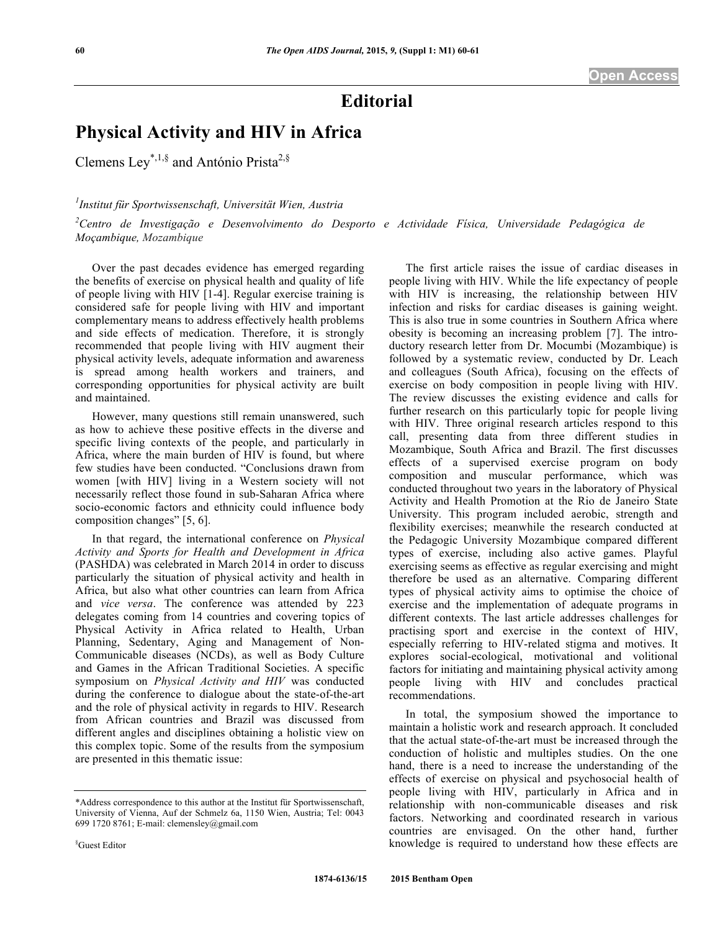# **Editorial**

# **Physical Activity and HIV in Africa**

Clemens Ley<sup>\*,1,§</sup> and António Prista<sup>2,§</sup>

# *1 Institut für Sportwissenschaft, Universität Wien, Austria*

*2 Centro de Investigação e Desenvolvimento do Desporto e Actividade Física, Universidade Pedagógica de Moçambique, Mozambique*

Over the past decades evidence has emerged regarding the benefits of exercise on physical health and quality of life of people living with HIV [1-4]. Regular exercise training is considered safe for people living with HIV and important complementary means to address effectively health problems and side effects of medication. Therefore, it is strongly recommended that people living with HIV augment their physical activity levels, adequate information and awareness is spread among health workers and trainers, and corresponding opportunities for physical activity are built and maintained.

However, many questions still remain unanswered, such as how to achieve these positive effects in the diverse and specific living contexts of the people, and particularly in Africa, where the main burden of HIV is found, but where few studies have been conducted. "Conclusions drawn from women [with HIV] living in a Western society will not necessarily reflect those found in sub-Saharan Africa where socio-economic factors and ethnicity could influence body composition changes" [5, 6].

In that regard, the international conference on *Physical Activity and Sports for Health and Development in Africa* (PASHDA) was celebrated in March 2014 in order to discuss particularly the situation of physical activity and health in Africa, but also what other countries can learn from Africa and *vice versa*. The conference was attended by 223 delegates coming from 14 countries and covering topics of Physical Activity in Africa related to Health, Urban Planning, Sedentary, Aging and Management of Non-Communicable diseases (NCDs), as well as Body Culture and Games in the African Traditional Societies. A specific symposium on *Physical Activity and HIV* was conducted during the conference to dialogue about the state-of-the-art and the role of physical activity in regards to HIV. Research from African countries and Brazil was discussed from different angles and disciplines obtaining a holistic view on this complex topic. Some of the results from the symposium are presented in this thematic issue:

people living with HIV. While the life expectancy of people with HIV is increasing, the relationship between HIV infection and risks for cardiac diseases is gaining weight. This is also true in some countries in Southern Africa where obesity is becoming an increasing problem [7]. The introductory research letter from Dr. Mocumbi (Mozambique) is followed by a systematic review, conducted by Dr. Leach and colleagues (South Africa), focusing on the effects of exercise on body composition in people living with HIV. The review discusses the existing evidence and calls for further research on this particularly topic for people living with HIV. Three original research articles respond to this call, presenting data from three different studies in Mozambique, South Africa and Brazil. The first discusses effects of a supervised exercise program on body composition and muscular performance, which was conducted throughout two years in the laboratory of Physical Activity and Health Promotion at the Rio de Janeiro State University. This program included aerobic, strength and flexibility exercises; meanwhile the research conducted at the Pedagogic University Mozambique compared different types of exercise, including also active games. Playful exercising seems as effective as regular exercising and might therefore be used as an alternative. Comparing different types of physical activity aims to optimise the choice of exercise and the implementation of adequate programs in different contexts. The last article addresses challenges for practising sport and exercise in the context of HIV, especially referring to HIV-related stigma and motives. It explores social-ecological, motivational and volitional factors for initiating and maintaining physical activity among people living with HIV and concludes practical recommendations.

The first article raises the issue of cardiac diseases in

In total, the symposium showed the importance to maintain a holistic work and research approach. It concluded that the actual state-of-the-art must be increased through the conduction of holistic and multiples studies. On the one hand, there is a need to increase the understanding of the effects of exercise on physical and psychosocial health of people living with HIV, particularly in Africa and in relationship with non-communicable diseases and risk factors. Networking and coordinated research in various countries are envisaged. On the other hand, further knowledge is required to understand how these effects are

<sup>\*</sup>Address correspondence to this author at the Institut für Sportwissenschaft, University of Vienna, Auf der Schmelz 6a, 1150 Wien, Austria; Tel: 0043 699 1720 8761; E-mail: clemensley@gmail.com